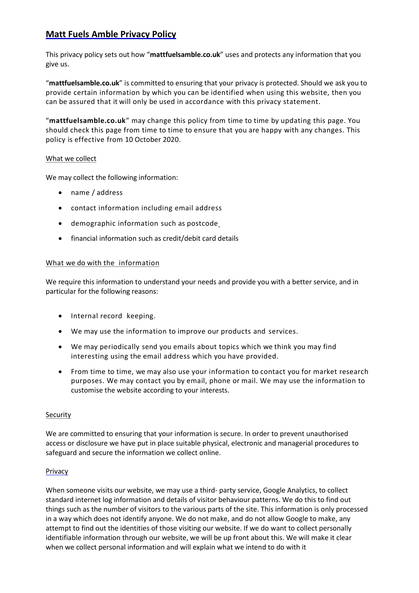# **Matt Fuels Amble Privacy Policy**

This privacy policy sets out how "**mattfuelsamble.co.uk**" uses and protects any information that you give us.

"**mattfuelsamble.co.uk**" is committed to ensuring that your privacy is protected. Should we ask you to provide certain information by which you can be identified when using this website, then you can be assured that it will only be used in accordance with this privacy statement.

"**mattfuelsamble.co.uk**" may change this policy from time to time by updating this page. You should check this page from time to time to ensure that you are happy with any changes. This policy is effective from 10 October 2020.

# What we collect

We may collect the following information:

- name / address
- contact information including email address
- demographic information such as postcode
- financial information such as credit/debit card details

# What we do with the information

We require this information to understand your needs and provide you with a better service, and in particular for the following reasons:

- Internal record keeping.
- We may use the information to improve our products and services.
- We may periodically send you emails about topics which we think you may find interesting using the email address which you have provided.
- From time to time, we may also use your information to contact you for market research purposes. We may contact you by email, phone or mail. We may use the information to customise the website according to your interests.

#### **Security**

We are committed to ensuring that your information is secure. In order to prevent unauthorised access or disclosure we have put in place suitable physical, electronic and managerial procedures to safeguard and secure the information we collect online.

# Privacy

When someone visits our website, we may use a third- party service, Google Analytics, to collect standard internet log information and details of visitor behaviour patterns. We do this to find out things such as the number of visitors to the various parts of the site. This information is only processed in a way which does not identify anyone. We do not make, and do not allow Google to make, any attempt to find out the identities of those visiting our website. If we do want to collect personally identifiable information through our website, we will be up front about this. We will make it clear when we collect personal information and will explain what we intend to do with it